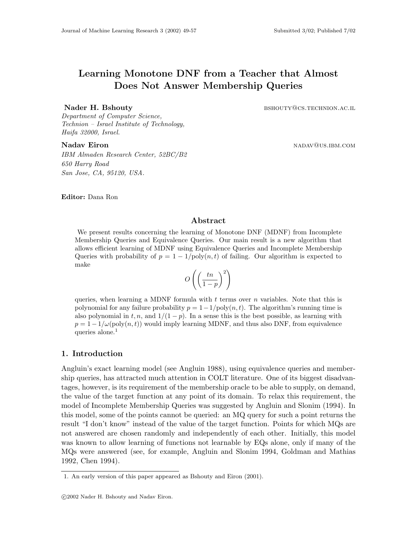# Learning Monotone DNF from a Teacher that Almost Does Not Answer Membership Queries

Nader H. Bshouty **brace and a service of the SHOUTY COS.TECHNION.AC.IL** 

Department of Computer Science, Technion – Israel Institute of Technology, Haifa 32000, Israel.

Nadav Eiron nadavid best and the set of the set of the set of the set of the set of the set of the set of the set of the set of the set of the set of the set of the set of the set of the set of the set of the set of the se IBM Almaden Research Center, 52BC/B2 650 Harry Road San Jose, CA, 95120, USA.

Editor: Dana Ron

# Abstract

We present results concerning the learning of Monotone DNF (MDNF) from Incomplete Membership Queries and Equivalence Queries. Our main result is a new algorithm that allows efficient learning of MDNF using Equivalence Queries and Incomplete Membership Queries with probability of  $p = 1 - 1/\text{poly}(n, t)$  of failing. Our algorithm is expected to make  $\overline{a}$ !<br>}

$$
O\left(\left(\frac{tn}{1-p}\right)^2\right)
$$

queries, when learning a MDNF formula with  $t$  terms over  $n$  variables. Note that this is polynomial for any failure probability  $p = 1 - 1/\text{poly}(n, t)$ . The algorithm's running time is also polynomial in t, n, and  $1/(1-p)$ . In a sense this is the best possible, as learning with  $p = 1-1/\omega(\text{poly}(n, t))$  would imply learning MDNF, and thus also DNF, from equivalence queries alone.<sup>1</sup>

# 1. Introduction

Angluin's exact learning model (see Angluin 1988), using equivalence queries and membership queries, has attracted much attention in COLT literature. One of its biggest disadvantages, however, is its requirement of the membership oracle to be able to supply, on demand, the value of the target function at any point of its domain. To relax this requirement, the model of Incomplete Membership Queries was suggested by Angluin and Slonim (1994). In this model, some of the points cannot be queried: an MQ query for such a point returns the result "I don't know" instead of the value of the target function. Points for which MQs are not answered are chosen randomly and independently of each other. Initially, this model was known to allow learning of functions not learnable by EQs alone, only if many of the MQs were answered (see, for example, Angluin and Slonim 1994, Goldman and Mathias 1992, Chen 1994).

<sup>1.</sup> An early version of this paper appeared as Bshouty and Eiron (2001).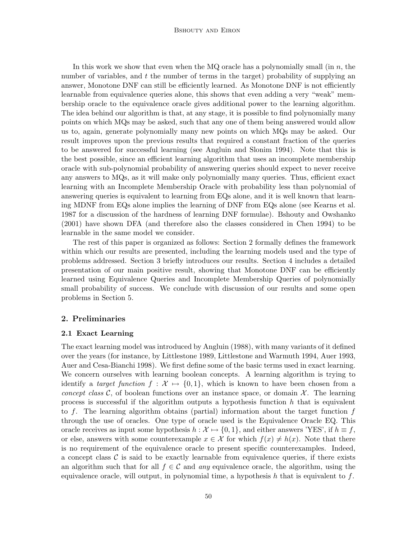#### Bshouty and Eiron

In this work we show that even when the  $MQ$  oracle has a polynomially small (in  $n$ , the number of variables, and  $t$  the number of terms in the target) probability of supplying an answer, Monotone DNF can still be efficiently learned. As Monotone DNF is not efficiently learnable from equivalence queries alone, this shows that even adding a very "weak" membership oracle to the equivalence oracle gives additional power to the learning algorithm. The idea behind our algorithm is that, at any stage, it is possible to find polynomially many points on which MQs may be asked, such that any one of them being answered would allow us to, again, generate polynomially many new points on which MQs may be asked. Our result improves upon the previous results that required a constant fraction of the queries to be answered for successful learning (see Angluin and Slonim 1994). Note that this is the best possible, since an efficient learning algorithm that uses an incomplete membership oracle with sub-polynomial probability of answering queries should expect to never receive any answers to MQs, as it will make only polynomially many queries. Thus, efficient exact learning with an Incomplete Membership Oracle with probability less than polynomial of answering queries is equivalent to learning from EQs alone, and it is well known that learning MDNF from EQs alone implies the learning of DNF from EQs alone (see Kearns et al. 1987 for a discussion of the hardness of learning DNF formulae). Bshouty and Owshanko (2001) have shown DFA (and therefore also the classes considered in Chen 1994) to be learnable in the same model we consider.

The rest of this paper is organized as follows: Section 2 formally defines the framework within which our results are presented, including the learning models used and the type of problems addressed. Section 3 briefly introduces our results. Section 4 includes a detailed presentation of our main positive result, showing that Monotone DNF can be efficiently learned using Equivalence Queries and Incomplete Membership Queries of polynomially small probability of success. We conclude with discussion of our results and some open problems in Section 5.

# 2. Preliminaries

# 2.1 Exact Learning

The exact learning model was introduced by Angluin (1988), with many variants of it defined over the years (for instance, by Littlestone 1989, Littlestone and Warmuth 1994, Auer 1993, Auer and Cesa-Bianchi 1998). We first define some of the basic terms used in exact learning. We concern ourselves with learning boolean concepts. A learning algorithm is trying to identify a *target function*  $f : \mathcal{X} \mapsto \{0, 1\}$ , which is known to have been chosen from a concept class C, of boolean functions over an instance space, or domain  $\mathcal{X}$ . The learning process is successful if the algorithm outputs a hypothesis function  $h$  that is equivalent to f. The learning algorithm obtains (partial) information about the target function  $f$ through the use of oracles. One type of oracle used is the Equivalence Oracle EQ. This oracle receives as input some hypothesis  $h : \mathcal{X} \mapsto \{0, 1\}$ , and either answers 'YES', if  $h \equiv f$ , or else, answers with some counterexample  $x \in \mathcal{X}$  for which  $f(x) \neq h(x)$ . Note that there is no requirement of the equivalence oracle to present specific counterexamples. Indeed, a concept class  $\mathcal C$  is said to be exactly learnable from equivalence queries, if there exists an algorithm such that for all  $f \in \mathcal{C}$  and any equivalence oracle, the algorithm, using the equivalence oracle, will output, in polynomial time, a hypothesis h that is equivalent to f.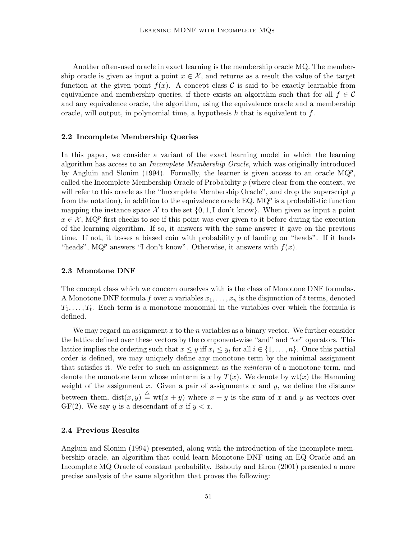Another often-used oracle in exact learning is the membership oracle MQ. The membership oracle is given as input a point  $x \in \mathcal{X}$ , and returns as a result the value of the target function at the given point  $f(x)$ . A concept class C is said to be exactly learnable from equivalence and membership queries, if there exists an algorithm such that for all  $f \in \mathcal{C}$ and any equivalence oracle, the algorithm, using the equivalence oracle and a membership oracle, will output, in polynomial time, a hypothesis h that is equivalent to f.

#### 2.2 Incomplete Membership Queries

In this paper, we consider a variant of the exact learning model in which the learning algorithm has access to an Incomplete Membership Oracle, which was originally introduced by Angluin and Slonim (1994). Formally, the learner is given access to an oracle  $MQ<sup>p</sup>$ , called the Incomplete Membership Oracle of Probability  $p$  (where clear from the context, we will refer to this oracle as the "Incomplete Membership Oracle", and drop the superscript  $p$ from the notation), in addition to the equivalence oracle EQ.  $MQ<sup>p</sup>$  is a probabilistic function mapping the instance space X to the set  $\{0, 1, I \text{ don't know}\}\$ . When given as input a point  $x \in \mathcal{X}$ , MQ<sup>p</sup> first checks to see if this point was ever given to it before during the execution of the learning algorithm. If so, it answers with the same answer it gave on the previous time. If not, it tosses a biased coin with probability  $p$  of landing on "heads". If it lands "heads", MQ<sup>p</sup> answers "I don't know". Otherwise, it answers with  $f(x)$ .

#### 2.3 Monotone DNF

The concept class which we concern ourselves with is the class of Monotone DNF formulas. A Monotone DNF formula f over n variables  $x_1, \ldots, x_n$  is the disjunction of t terms, denoted  $T_1, \ldots, T_t$ . Each term is a monotone monomial in the variables over which the formula is defined.

We may regard an assignment x to the n variables as a binary vector. We further consider the lattice defined over these vectors by the component-wise "and" and "or" operators. This lattice implies the ordering such that  $x \leq y$  iff  $x_i \leq y_i$  for all  $i \in \{1, \ldots, n\}$ . Once this partial order is defined, we may uniquely define any monotone term by the minimal assignment that satisfies it. We refer to such an assignment as the *minterm* of a monotone term, and denote the monotone term whose minterm is x by  $T(x)$ . We denote by  $wt(x)$  the Hamming weight of the assignment  $x$ . Given a pair of assignments  $x$  and  $y$ , we define the distance between them,  $dist(x, y) \triangleq wt(x + y)$  where  $x + y$  is the sum of x and y as vectors over GF(2). We say y is a descendant of x if  $y < x$ .

# 2.4 Previous Results

Angluin and Slonim (1994) presented, along with the introduction of the incomplete membership oracle, an algorithm that could learn Monotone DNF using an EQ Oracle and an Incomplete MQ Oracle of constant probability. Bshouty and Eiron (2001) presented a more precise analysis of the same algorithm that proves the following: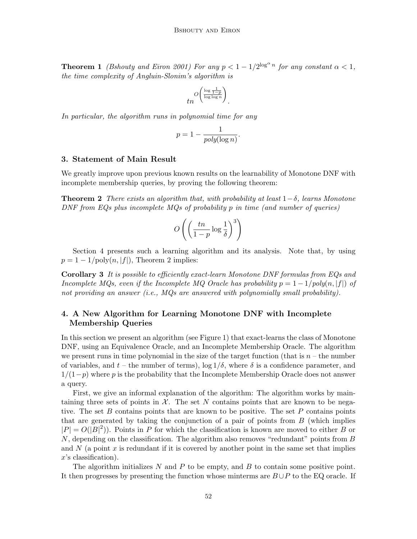**Theorem 1** (Bshouty and Eiron 2001) For any  $p < 1 - 1/2^{\log^{\alpha} n}$  for any constant  $\alpha < 1$ , the time complexity of Angluin-Slonim's algorithm is

$$
tn^{O\left(\frac{\log\frac{1}{1-p}}{\log\log n}\right)}.
$$

In particular, the algorithm runs in polynomial time for any

$$
p = 1 - \frac{1}{poly(\log n)}.
$$

#### 3. Statement of Main Result

We greatly improve upon previous known results on the learnability of Monotone DNF with incomplete membership queries, by proving the following theorem:

**Theorem 2** There exists an algorithm that, with probability at least  $1-\delta$ , learns Monotone DNF from EQs plus incomplete MQs of probability p in time (and number of queries)

$$
O\left(\left(\frac{tn}{1-p}\log\frac{1}{\delta}\right)^3\right)
$$

Section 4 presents such a learning algorithm and its analysis. Note that, by using  $p = 1 - 1/\text{poly}(n, |f|)$ , Theorem 2 implies:

Corollary 3 It is possible to efficiently exact-learn Monotone DNF formulas from EQs and Incomplete MQs, even if the Incomplete MQ Oracle has probability  $p = 1 - 1/poly(n, |f|)$  of not providing an answer  $(i.e., MQs$  are answered with polynomially small probability).

# 4. A New Algorithm for Learning Monotone DNF with Incomplete Membership Queries

In this section we present an algorithm (see Figure 1) that exact-learns the class of Monotone DNF, using an Equivalence Oracle, and an Incomplete Membership Oracle. The algorithm we present runs in time polynomial in the size of the target function (that is  $n -$  the number of variables, and  $t$  – the number of terms),  $\log 1/\delta$ , where  $\delta$  is a confidence parameter, and  $1/(1-p)$  where p is the probability that the Incomplete Membership Oracle does not answer a query.

First, we give an informal explanation of the algorithm: The algorithm works by maintaining three sets of points in  $\mathcal{X}$ . The set N contains points that are known to be negative. The set  $B$  contains points that are known to be positive. The set  $P$  contains points that are generated by taking the conjunction of a pair of points from  $B$  (which implies  $|P| = O(|B|^2)$ ). Points in P for which the classification is known are moved to either B or  $N$ , depending on the classification. The algorithm also removes "redundant" points from  $B$ and  $N$  (a point x is redundant if it is covered by another point in the same set that implies x's classification).

The algorithm initializes  $N$  and  $P$  to be empty, and  $B$  to contain some positive point. It then progresses by presenting the function whose minterms are  $B\cup P$  to the EQ oracle. If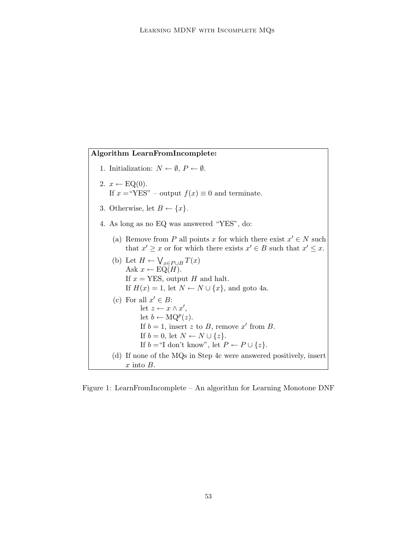Algorithm LearnFromIncomplete: 1. Initialization:  $N \leftarrow \emptyset$ ,  $P \leftarrow \emptyset$ . 2.  $x \leftarrow \text{EQ}(0)$ . If  $x =$ "YES" – output  $f(x) \equiv 0$  and terminate. 3. Otherwise, let  $B \leftarrow \{x\}.$ 4. As long as no EQ was answered "YES", do: (a) Remove from P all points x for which there exist  $x' \in N$  such that  $x' \geq x$  or for which there exists  $x' \in B$  such that  $x' \leq x$ . (b) Let  $H \leftarrow$  $\frac{1}{\sqrt{2}}$  $_{x\in P\cup B}\,T(x)$ Ask  $x \leftarrow EQ(H)$ . If  $x = \text{YES}$ , output H and halt. If  $H(x) = 1$ , let  $N \leftarrow N \cup \{x\}$ , and goto 4a. (c) For all  $x' \in B$ : let  $z \leftarrow x \wedge x'$ , let  $b \leftarrow \text{MQ}^p(z)$ . If  $b = 1$ , insert z to B, remove x' from B. If  $b = 0$ , let  $N \leftarrow N \cup \{z\}.$ If  $b = H$  don't know", let  $P \leftarrow P \cup \{z\}.$ (d) If none of the MQs in Step 4c were answered positively, insert  $x$  into  $B$ .

Figure 1: LearnFromIncomplete – An algorithm for Learning Monotone DNF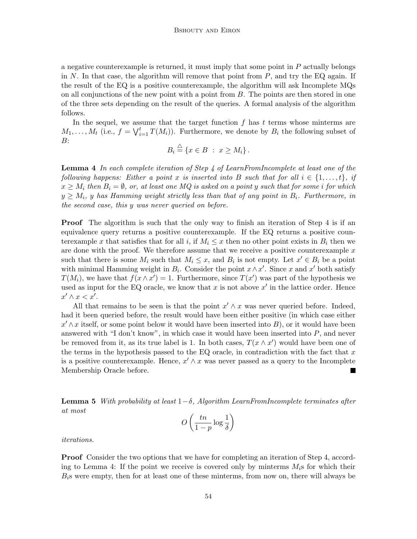a negative counterexample is returned, it must imply that some point in P actually belongs in N. In that case, the algorithm will remove that point from  $P$ , and try the EQ again. If the result of the EQ is a positive counterexample, the algorithm will ask Incomplete MQs on all conjunctions of the new point with a point from  $B$ . The points are then stored in one of the three sets depending on the result of the queries. A formal analysis of the algorithm follows.

In the sequel, we assume that the target function  $f$  has  $t$  terms whose minterms are In the sequel, we ass<br> $M_1, \ldots, M_t$  (i.e.,  $f = \bigvee_i^t$  $\prod_{i=1}^t T(M_i)$ . Furthermore, we denote by  $B_i$  the following subset of  $B:$ 

$$
B_i \stackrel{\triangle}{=} \{x \in B \; : \; x \ge M_i\} \, .
$$

**Lemma 4** In each complete iteration of Step 4 of LearnFromIncomplete at least one of the following happens: Either a point x is inserted into B such that for all  $i \in \{1, \ldots, t\}$ , if  $x \geq M_i$  then  $B_i = \emptyset$ , or, at least one MQ is asked on a point y such that for some i for which  $y \geq M_i$ , y has Hamming weight strictly less than that of any point in  $B_i$ . Furthermore, in the second case, this y was never queried on before.

**Proof** The algorithm is such that the only way to finish an iteration of Step 4 is if an equivalence query returns a positive counterexample. If the EQ returns a positive counterexample x that satisfies that for all i, if  $M_i \leq x$  then no other point exists in  $B_i$  then we are done with the proof. We therefore assume that we receive a positive counterexample  $x$ such that there is some  $M_i$  such that  $M_i \leq x$ , and  $B_i$  is not empty. Let  $x' \in B_i$  be a point with minimal Hamming weight in  $B_i$ . Consider the point  $x \wedge x'$ . Since x and x' both satisfy  $T(M_i)$ , we have that  $f(x \wedge x') = 1$ . Furthermore, since  $T(x')$  was part of the hypothesis we used as input for the EQ oracle, we know that  $x$  is not above  $x'$  in the lattice order. Hence  $x' \wedge x < x'.$ 

All that remains to be seen is that the point  $x' \wedge x$  was never queried before. Indeed, had it been queried before, the result would have been either positive (in which case either  $x' \wedge x$  itself, or some point below it would have been inserted into B), or it would have been answered with "I don't know", in which case it would have been inserted into  $P$ , and never be removed from it, as its true label is 1. In both cases,  $T(x \wedge x')$  would have been one of the terms in the hypothesis passed to the EQ oracle, in contradiction with the fact that  $x$ is a positive counterexample. Hence,  $x' \wedge x$  was never passed as a query to the Incomplete Membership Oracle before.

**Lemma 5** With probability at least  $1-\delta$ , Algorithm LearnFromIncomplete terminates after at most  $\overline{a}$  $\mathbf{r}$ 

$$
O\left(\frac{tn}{1-p}\log\frac{1}{\delta}\right)
$$

iterations.

Proof Consider the two options that we have for completing an iteration of Step 4, according to Lemma 4: If the point we receive is covered only by minterms  $M_i$ s for which their  $B<sub>i</sub>$ s were empty, then for at least one of these minterms, from now on, there will always be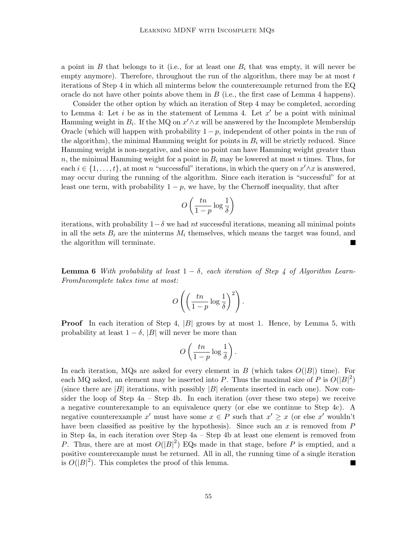a point in  $B$  that belongs to it (i.e., for at least one  $B_i$  that was empty, it will never be empty anymore). Therefore, throughout the run of the algorithm, there may be at most  $t$ iterations of Step 4 in which all minterms below the counterexample returned from the EQ oracle do not have other points above them in  $B$  (i.e., the first case of Lemma 4 happens).

Consider the other option by which an iteration of Step 4 may be completed, according to Lemma 4: Let  $i$  be as in the statement of Lemma 4. Let  $x'$  be a point with minimal Hamming weight in  $B_i$ . If the MQ on  $x' \wedge x$  will be answered by the Incomplete Membership Oracle (which will happen with probability  $1 - p$ , independent of other points in the run of the algorithm), the minimal Hamming weight for points in  $B_i$  will be strictly reduced. Since Hamming weight is non-negative, and since no point can have Hamming weight greater than n, the minimal Hamming weight for a point in  $B_i$  may be lowered at most n times. Thus, for each  $i \in \{1, \ldots, t\}$ , at most n "successful" iterations, in which the query on  $x' \wedge x$  is answered, may occur during the running of the algorithm. Since each iteration is "successful" for at least one term, with probability  $1 - p$ , we have, by the Chernoff inequality, that after

$$
O\left(\frac{tn}{1-p}\log\frac{1}{\delta}\right)
$$

iterations, with probability  $1-\delta$  we had nt successful iterations, meaning all minimal points in all the sets  $B_i$  are the minterms  $M_i$  themselves, which means the target was found, and the algorithm will terminate.

**Lemma 6** With probability at least  $1 - \delta$ , each iteration of Step 4 of Algorithm Learn-FromIncomplete takes time at most:

$$
O\left(\left(\frac{tn}{1-p}\log\frac{1}{\delta}\right)^2\right).
$$

**Proof** In each iteration of Step 4,  $|B|$  grows by at most 1. Hence, by Lemma 5, with probability at least  $1 - \delta$ , |B| will never be more than

$$
O\left(\frac{tn}{1-p}\log\frac{1}{\delta}\right).
$$

In each iteration, MQs are asked for every element in B (which takes  $O(|B|)$  time). For each MQ asked, an element may be inserted into P. Thus the maximal size of P is  $O(|B|^2)$ (since there are  $|B|$  iterations, with possibly  $|B|$  elements inserted in each one). Now consider the loop of Step 4a – Step 4b. In each iteration (over these two steps) we receive a negative counterexample to an equivalence query (or else we continue to Step 4c). A negative counterexample x' must have some  $x \in P$  such that  $x' \geq x$  (or else x' wouldn't have been classified as positive by the hypothesis). Since such an x is removed from  $P$ in Step 4a, in each iteration over Step 4a – Step 4b at least one element is removed from P. Thus, there are at most  $O(|B|^2)$  EQs made in that stage, before P is emptied, and a positive counterexample must be returned. All in all, the running time of a single iteration is  $O(|B|^2)$ . This completes the proof of this lemma.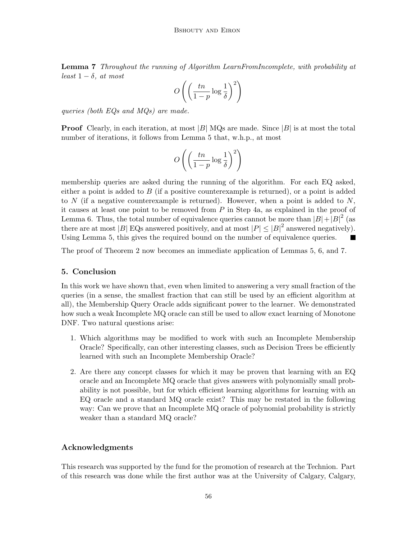Lemma 7 Throughout the running of Algorithm LearnFromIncomplete, with probability at least  $1 - \delta$ , at most  $\overline{a}$ !<br>}

$$
O\left(\left(\frac{tn}{1-p}\log \frac{1}{\delta}\right)^2\right)
$$

queries (both EQs and MQs) are made.

**Proof** Clearly, in each iteration, at most  $|B|$  MQs are made. Since  $|B|$  is at most the total number of iterations, it follows from Lemma 5 that, w.h.p., at most

$$
O\left(\left(\frac{tn}{1-p}\log\frac{1}{\delta}\right)^2\right)
$$

membership queries are asked during the running of the algorithm. For each EQ asked, either a point is added to  $B$  (if a positive counterexample is returned), or a point is added to N (if a negative counterexample is returned). However, when a point is added to N, it causes at least one point to be removed from P in Step 4a, as explained in the proof of Lemma 6. Thus, the total number of equivalence queries cannot be more than  $|B|+|B|^2$  (as there are at most |B| EQs answered positively, and at most  $|P| \leq |B|^2$  answered negatively). Using Lemma 5, this gives the required bound on the number of equivalence queries.

The proof of Theorem 2 now becomes an immediate application of Lemmas 5, 6, and 7.

# 5. Conclusion

In this work we have shown that, even when limited to answering a very small fraction of the queries (in a sense, the smallest fraction that can still be used by an efficient algorithm at all), the Membership Query Oracle adds significant power to the learner. We demonstrated how such a weak Incomplete MQ oracle can still be used to allow exact learning of Monotone DNF. Two natural questions arise:

- 1. Which algorithms may be modified to work with such an Incomplete Membership Oracle? Specifically, can other interesting classes, such as Decision Trees be efficiently learned with such an Incomplete Membership Oracle?
- 2. Are there any concept classes for which it may be proven that learning with an EQ oracle and an Incomplete MQ oracle that gives answers with polynomially small probability is not possible, but for which efficient learning algorithms for learning with an EQ oracle and a standard MQ oracle exist? This may be restated in the following way: Can we prove that an Incomplete MQ oracle of polynomial probability is strictly weaker than a standard MQ oracle?

# Acknowledgments

This research was supported by the fund for the promotion of research at the Technion. Part of this research was done while the first author was at the University of Calgary, Calgary,